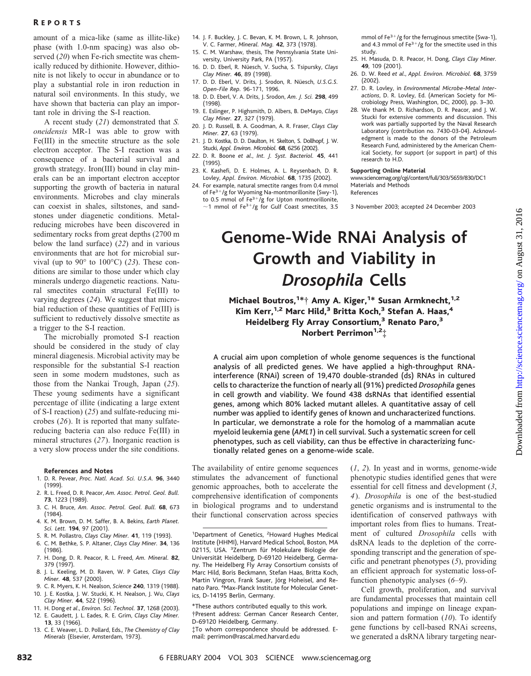## R EPORTS

amount of a mica-like (same as illite-like) phase (with 1.0-nm spacing) was also observed (*20*) when Fe-rich smectite was chemically reduced by dithionite. However, dithionite is not likely to occur in abundance or to play a substantial role in iron reduction in natural soil environments. In this study, we have shown that bacteria can play an important role in driving the S-I reaction.

A recent study (*21*) demonstrated that *S. oneidensis* MR-1 was able to grow with Fe(III) in the smectite structure as the sole electron acceptor. The S-I reaction was a consequence of a bacterial survival and growth strategy. Iron(III) bound in clay minerals can be an important electron acceptor supporting the growth of bacteria in natural environments. Microbes and clay minerals can coexist in shales, siltstones, and sandstones under diagenetic conditions. Metalreducing microbes have been discovered in sedimentary rocks from great depths (2700 m below the land surface) (*22*) and in various environments that are hot for microbial survival (up to 90° to 100°C) (*23*). These conditions are similar to those under which clay minerals undergo diagenetic reactions. Natural smectites contain structural Fe(III) to varying degrees (*24*). We suggest that microbial reduction of these quantities of Fe(III) is sufficient to reductively dissolve smectite as a trigger to the S-I reaction.

The microbially promoted S-I reaction should be considered in the study of clay mineral diagenesis. Microbial activity may be responsible for the substantial S-I reaction seen in some modern mudstones, such as those from the Nankai Trough, Japan (*25*). These young sediments have a significant percentage of illite (indicating a large extent of S-I reaction) (*25*) and sulfate-reducing microbes (*26*). It is reported that many sulfatereducing bacteria can also reduce Fe(III) in mineral structures (*27*). Inorganic reaction is a very slow process under the site conditions.

### **References and Notes**

- 1. D. R. Pevear, *Proc. Natl. Acad. Sci. U.S.A.* **96**, 3440 (1999).
- 2. R. L. Freed, D. R. Peacor, *Am. Assoc. Petrol. Geol. Bull.* **73**, 1223 (1989).
- 3. C. H. Bruce, *Am. Assoc. Petrol. Geol. Bull.* **68**, 673 (1984).
- 4. K. M. Brown, D. M. Saffer, B. A. Bekins, *Earth Planet. Sci. Lett.* **194**, 97 (2001).
- 5. R. M. Pollastro, *Clays Clay Miner.* **41**, 119 (1993).
- 6. C. M. Bethke, S. P. Altaner, *Clays Clay Miner.* **34**, 136 (1986).
- 7. H. Dong, D. R. Peacor, R. L. Freed, *Am. Mineral.* **82**, 379 (1997).
- 8. J. L. Keeling, M. D. Raven, W. P Gates, *Clays Clay Miner.* **48**, 537 (2000).
- 9. C. R. Myers, K. H. Nealson, *Science* **240**, 1319 (1988). 10. J. E. Kostka, J. W. Stucki, K. H. Nealson, J. Wu, *Clays*
- *Clay Miner.* **44**, 522 (1996). 11. H. Dong *et al*., *Environ. Sci. Technol.* **37**, 1268 (2003).
- 12. E. Gaudett, J. L. Eades, R. E. Grim, *Clays Clay Miner.*
- **13**, 33 (1966).
- 13. C. E. Weaver, L. D. Pollard, Eds., *The Chemistry of Clay Minerals* (Elsevier, Amsterdam, 1973).
- 14. J. F. Buckley, J. C. Bevan, K. M. Brown, L. R. Johnson, V. C. Farmer, *Mineral. Mag.* **42**, 373 (1978).
- 15. C. M. Warshaw, thesis, The Pennsylvania State University, University Park, PA (1957).
- 16. D. D. Eberl, R. Nu¨esch, V. Sucha, S. Tsipursky, *Clays Clay Miner.* **46**, 89 (1998).
- 17. D. D. Eberl, V. Drits, J. Srodon, R. Nüesch, U.S.G.S. *Open-File Rep.* 96-171, 1996.
- 18. D. D. Eberl, V. A. Drits, J. Srodon, *Am. J. Sci.* **298**, 499 (1998).
- 19. E. Eslinger, P. Highsmith, D. Albers, B. DeMayo, *Clays Clay Miner.* **27**, 327 (1979).
- 20. J. D. Russell, B. A. Goodman, A. R. Fraser, *Clays Clay Miner.* **27**, 63 (1979).
- 21. J. D. Kostka, D. D. Daulton, H. Skelton, S. Dollhopf, J. W. Stucki, *Appl. Environ. Microbiol.* **68**, 6256 (2002).
- 22. D. R. Boone *et al*., *Int. J. Syst. Bacteriol.* **45**, 441 (1995).
- 23. K. Kashefi, D. E. Holmes, A. L. Reysenbach, D. R. Lovley, *Appl. Environ. Microbiol.* **68**, 1735 (2002).
- 24. For example, natural smectite ranges from 0.4 mmol of Fe $^{3+}/g$  for Wyoming Na-montmorillonite (Swy-1), to 0.5 mmol of  $Fe^{3+}/g$  for Upton montmorillonite,  $\sim$ 1 mmol of Fe<sup>3+</sup>/g for Gulf Coast smectites, 3.5

mmol of  $Fe^{3+}/g$  for the ferruginous smectite (Swa-1), and 4.3 mmol of  $Fe<sup>3+</sup>/g$  for the smectite used in this study.

- 25. H. Masuda, D. R. Peacor, H. Dong, *Clays Clay Miner.* **49**, 109 (2001).
- 26. D. W. Reed *et al*., *Appl. Environ. Microbiol.* **68**, 3759 (2002).
- 27. D. R. Lovley, in *Environmental Microbe-Metal Interactions*, D. R. Lovley, Ed. (American Society for Microbiology Press, Washington, DC, 2000), pp. 3–30.
- 28. We thank M. D. Richardson, D. R. Peacor, and J. W. Stucki for extensive comments and discussion. This work was partially supported by the Naval Research Laboratory (contribution no. 7430-03-04). Acknowledgment is made to the donors of the Petroleum Research Fund, administered by the American Chemical Society, for support (or support in part) of this research to H.D.

#### **Supporting Online Material**

www.sciencemag.org/cgi/content/full/303/5659/830/DC1 Materials and Methods References

3 November 2003; accepted 24 December 2003

# **Genome-Wide RNAi Analysis of Growth and Viability in** *Drosophila* **Cells**

Michael Boutros, <sup>1\*</sup>† Amy A. Kiger, <sup>1\*</sup> Susan Armknecht, <sup>1,2</sup> Kim Kerr,<sup>1,2</sup> Marc Hild,<sup>3</sup> Britta Koch,<sup>3</sup> Stefan A. Haas,<sup>4</sup> Heidelberg Fly Array Consortium,<sup>3</sup> Renato Paro,<sup>3</sup> Norbert Perrimon<sup>1,2</sup>‡

A crucial aim upon completion of whole genome sequences is the functional analysis of all predicted genes. We have applied a high-throughput RNAinterference (RNAi) screen of 19,470 double-stranded (ds) RNAs in cultured cells to characterize the function of nearly all (91%) predicted *Drosophila* genes in cell growth and viability. We found 438 dsRNAs that identified essential genes, among which 80% lacked mutant alleles. A quantitative assay of cell number was applied to identify genes of known and uncharacterized functions. In particular, we demonstrate a role for the homolog of a mammalian acute myeloid leukemia gene (*AML1*) in cell survival. Such a systematic screen for cell phenotypes, such as cell viability, can thus be effective in characterizing functionally related genes on a genome-wide scale.

The availability of entire genome sequences stimulates the advancement of functional genomic approaches, both to accelerate the comprehensive identification of components in biological programs and to understand their functional conservation across species

- \*These authors contributed equally to this work. †Present address: German Cancer Research Center, D-69120 Heidelberg, Germany.
- ‡To whom correspondence should be addressed. Email: perrimon@rascal.med.harvard.edu

(*1*, *2*). In yeast and in worms, genome-wide phenotypic studies identified genes that were essential for cell fitness and development (*3*, *4*). *Drosophila* is one of the best-studied genetic organisms and is instrumental to the identification of conserved pathways with important roles from flies to humans. Treatment of cultured *Drosophila* cells with dsRNA leads to the depletion of the corresponding transcript and the generation of specific and penetrant phenotypes (*5*), providing an efficient approach for systematic loss-offunction phenotypic analyses (*6*–*9*).

Cell growth, proliferation, and survival are fundamental processes that maintain cell populations and impinge on lineage expansion and pattern formation (*10*). To identify gene functions by cell-based RNAi screens, we generated a dsRNA library targeting near-

<sup>&</sup>lt;sup>1</sup>Department of Genetics, <sup>2</sup>Howard Hughes Medical Institute (HHMI), Harvard Medical School, Boston, MA 02115, USA. <sup>3</sup>Zentrum für Molekulare Biologie der Universität Heidelberg, D-69120 Heidelberg, Germany. The Heidelberg Fly Array Consortium consists of Marc Hild, Boris Beckmann, Stefan Haas, Britta Koch, Martin Vingron, Frank Sauer, Jörg Hoheisel, and Renato Paro. <sup>4</sup> Max-Planck Institute for Molecular Genetics, D-14195 Berlin, Germany.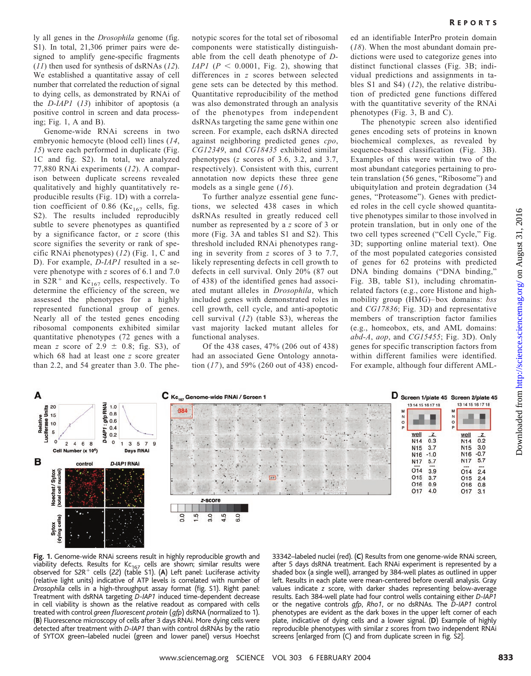ly all genes in the *Drosophila* genome (fig. S1). In total, 21,306 primer pairs were designed to amplify gene-specific fragments (*11*) then used for synthesis of dsRNAs (*12*). We established a quantitative assay of cell number that correlated the reduction of signal to dying cells, as demonstrated by RNAi of the *D-IAP1* (*13*) inhibitor of apoptosis (a positive control in screen and data processing; Fig. 1, A and B).

Genome-wide RNAi screens in two embryonic hemocyte (blood cell) lines (*14*, *15*) were each performed in duplicate (Fig. 1C and fig. S2). In total, we analyzed 77,880 RNAi experiments (*12*). A comparison between duplicate screens revealed qualitatively and highly quantitatively reproducible results (Fig. 1D) with a correlation coefficient of 0.86 (Kc<sub>167</sub> cells, fig. S2). The results included reproducibly subtle to severe phenotypes as quantified by a significance factor, or *z* score (this score signifies the severity or rank of specific RNAi phenotypes) (*12*) (Fig. 1, C and D). For example, *D-IAP1* resulted in a severe phenotype with *z* scores of 6.1 and 7.0 in S2R<sup>+</sup> and Kc<sub>167</sub> cells, respectively. To determine the efficiency of the screen, we assessed the phenotypes for a highly represented functional group of genes. Nearly all of the tested genes encoding ribosomal components exhibited similar quantitative phenotypes (72 genes with a mean *z* score of  $2.9 \pm 0.8$ ; fig. S3), of which 68 had at least one *z* score greater than 2.2, and 54 greater than 3.0. The phenotypic scores for the total set of ribosomal components were statistically distinguishable from the cell death phenotype of *D-IAP1* ( $P < 0.0001$ , Fig. 2), showing that differences in *z* scores between selected gene sets can be detected by this method. Quantitative reproducibility of the method was also demonstrated through an analysis of the phenotypes from independent dsRNAs targeting the same gene within one screen. For example, each dsRNA directed against neighboring predicted genes *cpo*, *CG12349*, and *CG18435* exhibited similar phenotypes (*z* scores of 3.6, 3.2, and 3.7, respectively). Consistent with this, current annotation now depicts these three gene models as a single gene (*16*).

To further analyze essential gene functions, we selected 438 cases in which dsRNAs resulted in greatly reduced cell number as represented by a *z* score of 3 or more (Fig. 3A and tables S1 and S2). This threshold included RNAi phenotypes ranging in severity from *z* scores of 3 to 7.7, likely representing defects in cell growth to defects in cell survival. Only 20% (87 out of 438) of the identified genes had associated mutant alleles in *Drosophila*, which included genes with demonstrated roles in cell growth, cell cycle, and anti-apoptotic cell survival (*12*) (table S3), whereas the vast majority lacked mutant alleles for functional analyses.

Of the 438 cases, 47% (206 out of 438) had an associated Gene Ontology annotation (*17*), and 59% (260 out of 438) encoded an identifiable InterPro protein domain (*18*). When the most abundant domain predictions were used to categorize genes into distinct functional classes (Fig. 3B; individual predictions and assignments in tables S1 and S4) (*12*), the relative distribution of predicted gene functions differed with the quantitative severity of the RNAi phenotypes (Fig. 3, B and C).

The phenotypic screen also identified genes encoding sets of proteins in known biochemical complexes, as revealed by sequence-based classification (Fig. 3B). Examples of this were within two of the most abundant categories pertaining to protein translation (56 genes, "Ribosome") and ubiquitylation and protein degradation (34 genes, "Proteasome"). Genes with predicted roles in the cell cycle showed quantitative phenotypes similar to those involved in protein translation, but in only one of the two cell types screened ("Cell Cycle," Fig. 3D; supporting online material text). One of the most populated categories consisted of genes for 62 proteins with predicted DNA binding domains ("DNA binding," Fig. 3B, table S1), including chromatinrelated factors (e.g., core Histone and highmobility group (HMG)– box domains: *bss* and *CG17836*; Fig. 3D) and representative members of transcription factor families (e.g., homeobox, ets, and AML domains: *abd-A*, *aop*, and *CG15455*; Fig. 3D). Only genes for specific transcription factors from within different families were identified. For example, although four different AML-



**Fig.1.** Genome-wide RNAi screens result in highly reproducible growth and viability defects. Results for  $Kc_{167}$  cells are shown; similar results were observed for S2R<sup>+</sup> cells (22) (table S1). (A) Left panel: Luciferase activity (relative light units) indicative of ATP levels is correlated with number of *Drosophila* cells in a high-throughput assay format (fig. S1). Right panel: Treatment with dsRNA targeting *D-IAP1* induced time-dependent decrease in cell viability is shown as the relative readout as compared with cells treated with control *green fluorescent protein* (*gfp*) dsRNA (normalized to 1). (**B**) Fluorescence microscopy of cells after 3 days RNAi. More dying cells were detected after treatment with *D-IAP1* than with control dsRNAs by the ratio of SYTOX green–labeled nuclei (green and lower panel) versus Hoechst 33342–labeled nuclei (red). (**C**) Results from one genome-wide RNAi screen, after 5 days dsRNA treatment. Each RNAi experiment is represented by a shaded box (a single well), arranged by 384-well plates as outlined in upper left. Results in each plate were mean-centered before overall analysis. Gray values indicate *z* score, with darker shades representing below-average results. Each 384-well plate had four control wells containing either *D-IAP1* or the negative controls *gfp*, *Rho1*, or no dsRNAs. The *D-IAP1* control phenotypes are evident as the dark boxes in the upper left corner of each plate, indicative of dying cells and a lower signal. (**D**) Example of highly reproducible phenotypes with similar *z* scores from two independent RNAi screens [enlarged from (C) and from duplicate screen in fig. S2].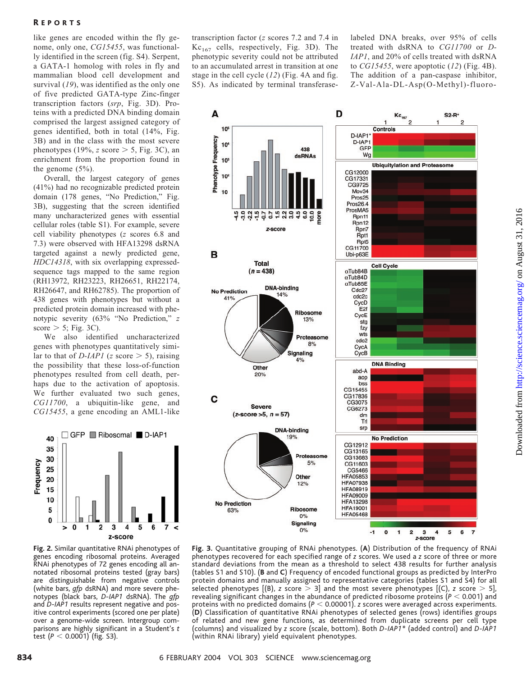like genes are encoded within the fly genome, only one, *CG15455*, was functionally identified in the screen (fig. S4). Serpent, a GATA-1 homolog with roles in fly and mammalian blood cell development and survival (*19*), was identified as the only one of five predicted GATA-type Zinc-finger transcription factors (*srp*, Fig. 3D). Proteins with a predicted DNA binding domain comprised the largest assigned category of genes identified, both in total (14%, Fig. 3B) and in the class with the most severe phenotypes (19%,  $z$  score  $> 5$ , Fig. 3C), an enrichment from the proportion found in the genome (5%).

Overall, the largest category of genes (41%) had no recognizable predicted protein domain (178 genes, "No Prediction," Fig. 3B), suggesting that the screen identified many uncharacterized genes with essential cellular roles (table S1). For example, severe cell viability phenotypes (*z* scores 6.8 and 7.3) were observed with HFA13298 dsRNA targeted against a newly predicted gene, *HDC14318*, with six overlapping expressedsequence tags mapped to the same region (RH13972, RH23223, RH26651, RH22174, RH26647, and RH62785). The proportion of 438 genes with phenotypes but without a predicted protein domain increased with phenotypic severity (63% "No Prediction," *z* score  $>$  5; Fig. 3C).

We also identified uncharacterized genes with phenotypes quantitatively similar to that of *D-IAP1* (*z* score  $>$  5), raising the possibility that these loss-of-function phenotypes resulted from cell death, perhaps due to the activation of apoptosis. We further evaluated two such genes, *CG11700*, a ubiquitin-like gene, and *CG15455*, a gene encoding an AML1-like



**Fig.2.** Similar quantitative RNAi phenotypes of genes encoding ribosomal proteins. Averaged RNAi phenotypes of 72 genes encoding all annotated ribosomal proteins tested (gray bars) are distinguishable from negative controls (white bars, *gfp* dsRNA) and more severe phenotypes (black bars, *D-IAP1* dsRNA). The *gfp* and *D-IAP1* results represent negative and positive control experiments (scored one per plate) over a genome-wide screen. Intergroup comparisons are highly significant in a Student's *t* test  $(P < 0.0001)$  (fig. S3).

transcription factor (*z* scores 7.2 and 7.4 in  $Kc_{167}$  cells, respectively, Fig. 3D). The phenotypic severity could not be attributed to an accumulated arrest in transition at one stage in the cell cycle (*12*) (Fig. 4A and fig. S5). As indicated by terminal transferaselabeled DNA breaks, over 95% of cells treated with dsRNA to *CG11700* or *D-IAP1*, and 20% of cells treated with dsRNA to *CG15455*, were apoptotic (*12*) (Fig. 4B). The addition of a pan-caspase inhibitor, Z-Val-Ala-DL-Asp(O-Methyl)-fluoro-



Downloaded from http://science.sciencemag.org/ on August 31, 2016 <http://science.sciencemag.org/> on August 31, 2016 Downloaded from

**Fig.3.** Quantitative grouping of RNAi phenotypes. (**A**) Distribution of the frequency of RNAi phenotypes recovered for each specified range of *z* scores. We used a *z* score of three or more standard deviations from the mean as a threshold to select 438 results for further analysis (tables S1 and S10). (**B** and **C**) Frequency of encoded functional groups as predicted by InterPro protein domains and manually assigned to representative categories (tables S1 and S4) for all selected phenotypes  $[(B), z$  score  $> 3]$  and the most severe phenotypes  $[(C), z$  score  $> 5]$ , revealing significant changes in the abundance of predicted ribosome proteins ( $P < 0.001$ ) and proteins with no predicted domains ( $P < 0.00001$ ). *z* scores were averaged across experiments. (**D**) Classification of quantitative RNAi phenotypes of selected genes (rows) identifies groups of related and newgene functions, as determined from duplicate screens per cell type (columns) and visualized by *z* score (scale, bottom). Both *D-IAP1\** (added control) and *D-IAP1* (within RNAi library) yield equivalent phenotypes.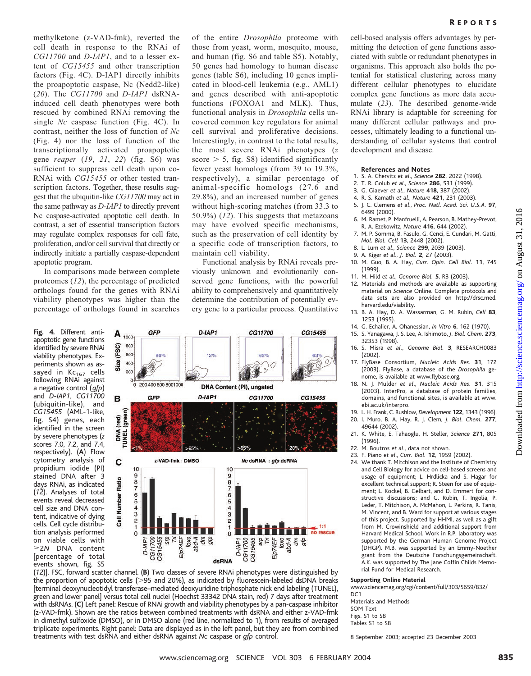methylketone (z-VAD-fmk), reverted the cell death in response to the RNAi of *CG11700* and *D-IAP1*, and to a lesser extent of *CG15455* and other transcription factors (Fig. 4C). D-IAP1 directly inhibits the proapoptotic caspase, Nc (Nedd2-like) (*20*). The *CG11700* and *D-IAP1* dsRNAinduced cell death phenotypes were both rescued by combined RNAi removing the single *Nc* caspase function (Fig. 4C). In contrast, neither the loss of function of *Nc* (Fig. 4) nor the loss of function of the transcriptionally activated proapoptotic gene *reaper* (*19*, *21*, *22*) (fig. S6) was sufficient to suppress cell death upon co-RNAi with *CG15455* or other tested transcription factors. Together, these results suggest that the ubiquitin-like *CG11700* may act in the same pathway as *D-IAP1* to directly prevent Nc caspase-activated apoptotic cell death. In contrast, a set of essential transcription factors may regulate complex responses for cell fate, proliferation, and/or cell survival that directly or indirectly initiate a partially caspase-dependent apoptotic program.

In comparisons made between complete proteomes (*12*), the percentage of predicted orthologs found for the genes with RNAi viability phenotypes was higher than the percentage of orthologs found in searches

**Fig.4.** Different antiapoptotic gene functions identified by severe RNAi viability phenotypes. Experiments shown as assayed in  $Kc_{167}$  cells following RNAi against a negative control (*gfp*) and *D-IAP1*, *CG11700* (ubiquitin-like), and *CG15455* (AML-1-like, fig. S4) genes, each identified in the screen by severe phenotypes (*z* scores 7.0, 7.2, and 7.4, respectively). (**A**) Flow cytometry analysis of propidium iodide (PI) stained DNA after 3 days RNAi, as indicated (*12*). Analyses of total events reveal decreased cell size and DNA content, indicative of dying cells. Cell cycle distribution analysis performed on viable cells with 2*N* DNA content [percentage of total events shown, fig. S5

of the entire *Drosophila* proteome with those from yeast, worm, mosquito, mouse, and human (fig. S6 and table S5). Notably, 50 genes had homology to human disease genes (table S6), including 10 genes implicated in blood-cell leukemia (e.g., AML1) and genes described with anti-apoptotic functions (FOXOA1 and MLK). Thus, functional analysis in *Drosophila* cells uncovered common key regulators for animal cell survival and proliferative decisions. Interestingly, in contrast to the total results, the most severe RNAi phenotypes (*z* score  $> 5$ , fig. S8) identified significantly fewer yeast homologs (from 39 to 19.3%, respectively), a similar percentage of animal-specific homologs (27.6 and 29.8%), and an increased number of genes without high-scoring matches (from 33.3 to 50.9%) (*12*). This suggests that metazoans may have evolved specific mechanisms, such as the preservation of cell identity by a specific code of transcription factors, to maintain cell viability.

Functional analysis by RNAi reveals previously unknown and evolutionarily conserved gene functions, with the powerful ability to comprehensively and quantitatively determine the contribution of potentially every gene to a particular process. Quantitative



(*12*)]. FSC, forward scatter channel. (**B**) Two classes of severe RNAi phenotypes were distinguished by the proportion of apoptotic cells (>95 and 20%), as indicated by fluorescein-labeled dsDNA breaks [terminal deoxynucleotidyl transferase–mediated deoxyuridine triphosphate nick end labeling (TUNEL), green and lower panel] versus total cell nuclei (Hoechst 33342 DNA stain, red) 7 days after treatment with dsRNAs. (**C**) Left panel: Rescue of RNAi growth and viability phenotypes by a pan-caspase inhibitor (z-VAD-fmk). Shown are the ratios between combined treatments with dsRNA and either z-VAD-fmk in dimethyl sulfoxide (DMSO), or in DMSO alone (red line, normalized to 1), from results of averaged triplicate experiments. Right panel: Data are displayed as in the left panel, but they are from combined treatments with test dsRNA and either dsRNA against *Nc* caspase or *gfp* control.

cell-based analysis offers advantages by permitting the detection of gene functions associated with subtle or redundant phenotypes in organisms. This approach also holds the potential for statistical clustering across many different cellular phenotypes to elucidate complex gene functions as more data accumulate (*23*). The described genome-wide RNAi library is adaptable for screening for many different cellular pathways and processes, ultimately leading to a functional understanding of cellular systems that control development and disease.

### **References and Notes**

- 1. S. A. Chervitz *et al*., *Science* **282**, 2022 (1998).
- 2. T. R. Golub *et al*., *Science* **286**, 531 (1999).
- 3. G. Giaever *et al*., *Nature* **418**, 387 (2002).
- 4. R. S. Kamath *et al*., *Nature* **421**, 231 (2003).
- 5. J. C. Clemens *et al*., *Proc. Natl. Acad. Sci. U.S.A.* **97**, 6499 (2000). 6. M. Ramet, P. Manfruelli, A. Pearson, B. Mathey-Prevot,
- R. A. Ezekowitz, *Nature* **416**, 644 (2002).
- 7. M. P. Somma, B. Fasulo, G. Cenci, E. Cundari, M. Gatti, *Mol. Biol. Cell* **13**, 2448 (2002).
- 8. L. Lum *et al*., *Science* **299**, 2039 (2003).
- 9. A. Kiger *et al*., *J. Biol.* **2**, 27 (2003).
- 10. M. Guo, B. A. Hay, *Curr. Opin. Cell Biol.* **11**, 745 (1999).
- 11. M. Hild *et al*., *Genome Biol.* **5**, R3 (2003).
- 12. Materials and methods are available as supporting material on *Science* Online. Complete protocols and data sets are also provided on http://drsc.med. harvard.edu/viability.
- 13. B. A. Hay, D. A. Wassarman, G. M. Rubin, *Cell* **83**, 1253 (1995).
- 14. G. Echalier, A. Ohanessian, *In Vitro* **6**, 162 (1970).
- 15. S. Yanagawa, J. S. Lee, A. Ishimoto, *J. Biol. Chem.* **273**, 32353 (1998).
- 16. S. Misra *et al., Genome Biol.* **3**, RESEARCH0083 (2002).
- 17. FlyBase Consortium, *Nucleic Acids Res*. **31**, 172 (2003). FlyBase, a database of the *Drosophila* genome, is available at www.flybase.org.
- 18. N. J. Mulder *et al*., *Nucleic Acids Res.* **31**, 315 (2003). InterPro, a database of protein families, domains, and functional sites, is available at www. ebi.ac.uk/interpro.
- 19. L. H. Frank, C. Rushlow, *Development* **122**, 1343 (1996).
- 20. I. Muro, B. A. Hay, R. J. Clem, *J. Biol. Chem.* **277**, 49644 (2002).
- 21. K. White, E. Tahaoglu, H. Steller, *Science* **271**, 805 (1996).
- 22. M. Boutros *et al*., data not shown.
- 23. F. Piano *et al*., *Curr. Biol.* **12**, 1959 (2002).
- 24. We thank T. Mitchison and the Institute of Chemistry and Cell Biology for advice on cell-based screens and usage of equipment; L. Hrdlicka and S. Hagar for excellent technical support; R. Steen for use of equipment; L. Kockel, B. Gelbart, and D. Emmert for constructive discussions; and G. Rubin, T. Ingolia, P. Leder, T. Mitchison, A. McMahon, L. Perkins, R. Tanis, M. Vincent, and B. Ward for support at various stages of this project. Supported by HHMI, as well as a gift from M. Crowinshield and additional support from Harvard Medical School. Work in R.P. laboratory was supported by the German Human Genome Project (DHGP). M.B. was supported by an Emmy-Noether grant from the Deutsche Forschungsgemeinschaft. A.K. was supported by The Jane Coffin Childs Memorial Fund for Medical Research.

### **Supporting Online Material**

www.sciencemag.org/cgi/content/full/303/5659/832/ D<sub>C</sub>1

- Materials and Methods SOM Text Figs. S1 to S8
- Tables S1 to S8

8 September 2003; accepted 23 December 2003

<http://science.sciencemag.org/> on August 31, 2016

Downloaded from http://science.sciencemag.org/ on August 31, 2016

Downloaded from